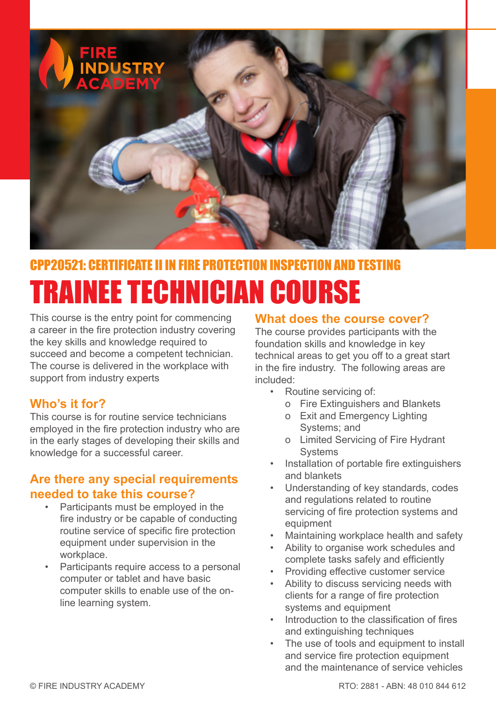

# CPP20521: CERTIFICATE II IN FIRE PROTECTION INSPECTION AND TESTING RAINEE TECHNICIAN COURSE

This course is the entry point for commencing a career in the fire protection industry covering the key skills and knowledge required to succeed and become a competent technician. The course is delivered in the workplace with support from industry experts

# **Who's it for?**

This course is for routine service technicians employed in the fire protection industry who are in the early stages of developing their skills and knowledge for a successful career.

# **Are there any special requirements needed to take this course?**

- Participants must be employed in the fire industry or be capable of conducting routine service of specific fire protection equipment under supervision in the workplace.
- Participants require access to a personal computer or tablet and have basic computer skills to enable use of the online learning system.

#### **What does the course cover?**

The course provides participants with the foundation skills and knowledge in key technical areas to get you off to a great start in the fire industry. The following areas are included:

- Routine servicing of:
	- o Fire Extinguishers and Blankets
	- o Exit and Emergency Lighting Systems; and
	- o Limited Servicing of Fire Hydrant **Systems**
- Installation of portable fire extinguishers and blankets
- Understanding of key standards, codes and regulations related to routine servicing of fire protection systems and equipment
- Maintaining workplace health and safety
- Ability to organise work schedules and complete tasks safely and efficiently
- Providing effective customer service
- Ability to discuss servicing needs with clients for a range of fire protection systems and equipment
- Introduction to the classification of fires and extinguishing techniques
- The use of tools and equipment to install and service fire protection equipment and the maintenance of service vehicles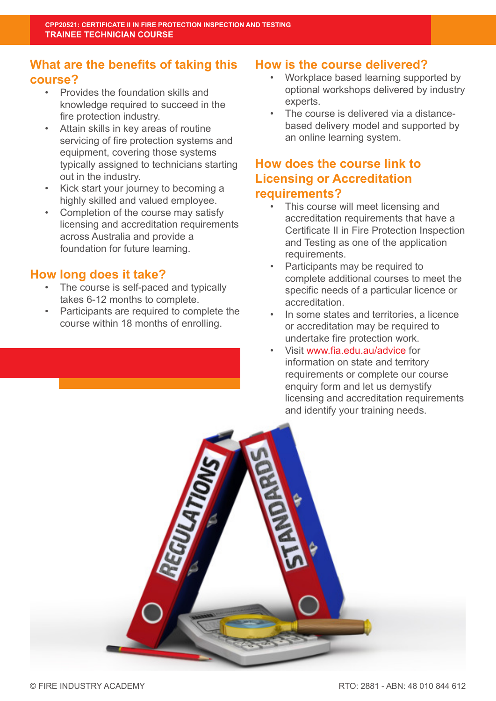# **What are the benefits of taking this course?**

- Provides the foundation skills and knowledge required to succeed in the fire protection industry.
- Attain skills in key areas of routine servicing of fire protection systems and equipment, covering those systems typically assigned to technicians starting out in the industry.
- Kick start your journey to becoming a highly skilled and valued employee.
- Completion of the course may satisfy licensing and accreditation requirements across Australia and provide a foundation for future learning.

## **How long does it take?**

- The course is self-paced and typically takes 6-12 months to complete.
- Participants are required to complete the course within 18 months of enrolling.

# **How is the course delivered?**

- Workplace based learning supported by optional workshops delivered by industry experts.
- The course is delivered via a distancebased delivery model and supported by an online learning system.

# **How does the course link to Licensing or Accreditation requirements?**

- This course will meet licensing and accreditation requirements that have a Certificate II in Fire Protection Inspection and Testing as one of the application requirements.
- Participants may be required to complete additional courses to meet the specific needs of a particular licence or accreditation.
- In some states and territories, a licence or accreditation may be required to undertake fire protection work.
- Visit www.fia.edu.au/advice for information on state and territory requirements or complete our course enquiry form and let us demystify licensing and accreditation requirements and identify your training needs.